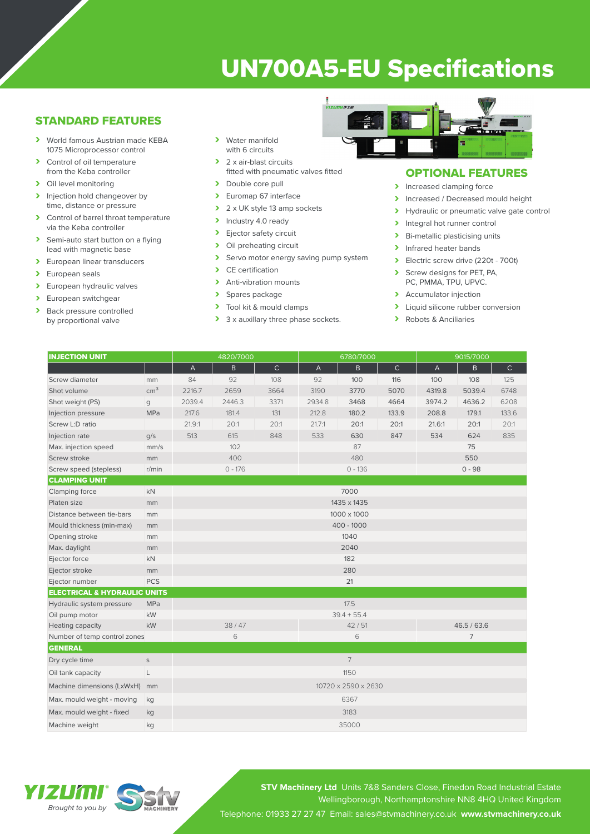# UN700A5-EU Specifications

## STANDARD FEATURES

- › World famous Austrian made KEBA 1075 Microprocessor control
- > Control of oil temperature from the Keba controller
- > Oil level monitoring
- > Injection hold changeover by time, distance or pressure
- > Control of barrel throat temperature via the Keba controller
- > Semi-auto start button on a flying lead with magnetic base
- > European linear transducers
- > European seals
- > European hydraulic valves
- > European switchgear<br>
> Back pressure contro
- Back pressure controlled by proportional valve
- › Water manifold with 6 circuits
- > 2 x air-blast circuits fitted with pneumatic valves fitted
- > Double core pull
- > Euromap 67 interface
- $\geq 2 \times UK$  style 13 amp sockets<br>  $\geq 1$ ndustry 4.0 ready
- Industry 4.0 ready
- > Ejector safety circuit<br>> Oil preheating circuit
- Oil preheating circuit
- > Servo motor energy saving pump system<br>
> CE certification
- CE certification
- > Anti-vibration mounts
- > Spares package<br>> Tool kit & mould
- Tool kit & mould clamps
- > 3 x auxillary three phase sockets.



### OPTIONAL FEATURES

- > Increased clamping force
- Increased / Decreased mould height<br>
Invealing the proportional valve date contract of
- Hydraulic or pneumatic valve gate control
- > Integral hot runner control
- > Bi-metallic plasticising units
- > Infrared heater bands
- > Electric screw drive (220t 700t)
- Screw designs for PET, PA, PC, PMMA, TPU, UPVC.
- > Accumulator injection
- > Liquid silicone rubber conversion
- › Robots & Anciliaries

| <b>INJECTION UNIT</b>                   |                 | 4820/7000                 |              |              | 6780/7000      |       |              | 9015/7000                 |              |              |
|-----------------------------------------|-----------------|---------------------------|--------------|--------------|----------------|-------|--------------|---------------------------|--------------|--------------|
|                                         |                 | $\boldsymbol{\mathsf{A}}$ | $\mathsf{B}$ | $\mathsf{C}$ | $\overline{A}$ | B.    | $\mathsf{C}$ | $\boldsymbol{\mathsf{A}}$ | $\mathsf{B}$ | $\mathsf{C}$ |
| Screw diameter                          | mm              | 84                        | 92           | 108          | 92             | 100   | 116          | 100                       | 108          | 125          |
| Shot volume                             | cm <sup>3</sup> | 2216.7                    | 2659         | 3664         | 3190           | 3770  | 5070         | 4319.8                    | 5039.4       | 6748         |
| Shot weight (PS)                        | g               | 2039.4                    | 2446.3       | 3371         | 2934.8         | 3468  | 4664         | 3974.2                    | 4636.2       | 6208         |
| Injection pressure                      | MPa             | 217.6                     | 181.4        | 131          | 212.8          | 180.2 | 133.9        | 208.8                     | 179.1        | 133.6        |
| Screw L:D ratio                         |                 | 21.9:1                    | 20:1         | 20:1         | 21.7:1         | 20:1  | 20:1         | 21.6:1                    | 20:1         | 20:1         |
| Injection rate                          | q/s             | 513                       | 615          | 848          | 533            | 630   | 847          | 534                       | 624          | 835          |
| Max. injection speed                    | mm/s            | 102                       |              |              | 87             |       |              | 75                        |              |              |
| Screw stroke                            | mm              | 400                       |              |              | 480            |       |              | 550                       |              |              |
| Screw speed (stepless)                  | r/min           | $0 - 176$                 |              |              | $0 - 136$      |       |              | $0 - 98$                  |              |              |
| <b>CLAMPING UNIT</b>                    |                 |                           |              |              |                |       |              |                           |              |              |
| Clamping force                          | <b>kN</b>       | 7000                      |              |              |                |       |              |                           |              |              |
| Platen size                             | mm              | 1435 x 1435               |              |              |                |       |              |                           |              |              |
| Distance between tie-bars               | mm              | 1000 x 1000               |              |              |                |       |              |                           |              |              |
| Mould thickness (min-max)               | mm              | $400 - 1000$              |              |              |                |       |              |                           |              |              |
| Opening stroke                          | mm              | 1040                      |              |              |                |       |              |                           |              |              |
| Max. daylight                           | mm              | 2040                      |              |              |                |       |              |                           |              |              |
| Ejector force                           | kN              | 182                       |              |              |                |       |              |                           |              |              |
| Ejector stroke                          | mm              | 280                       |              |              |                |       |              |                           |              |              |
| Ejector number                          | <b>PCS</b>      |                           | 21           |              |                |       |              |                           |              |              |
| <b>ELECTRICAL &amp; HYDRAULIC UNITS</b> |                 |                           |              |              |                |       |              |                           |              |              |
| Hydraulic system pressure               | MPa             |                           |              |              | 17.5           |       |              |                           |              |              |
| Oil pump motor                          | kW              |                           |              |              | $39.4 + 55.4$  |       |              |                           |              |              |
| Heating capacity                        | kW              | 38/47                     |              |              | 42/51          |       |              | 46.5 / 63.6               |              |              |
| Number of temp control zones            |                 | 6                         |              |              | 6              |       |              | 7                         |              |              |
| <b>GENERAL</b>                          |                 |                           |              |              |                |       |              |                           |              |              |
| Dry cycle time                          | $\mathsf S$     | $7\overline{ }$           |              |              |                |       |              |                           |              |              |
| Oil tank capacity                       | L               | 1150                      |              |              |                |       |              |                           |              |              |
| Machine dimensions (LxWxH)              | mm              | 10720 x 2590 x 2630       |              |              |                |       |              |                           |              |              |
| Max. mould weight - moving              | kg              | 6367                      |              |              |                |       |              |                           |              |              |
| Max. mould weight - fixed               | kg              | 3183                      |              |              |                |       |              |                           |              |              |
| Machine weight                          | kg              | 35000                     |              |              |                |       |              |                           |              |              |



**STV Machinery Ltd** Units 7&8 Sanders Close, Finedon Road Industrial Estate Wellingborough, Northamptonshire NN8 4HQ United Kingdom Telephone: 01933 27 27 47 Email: sales@stvmachinery.co.uk **www.stvmachinery.co.uk**